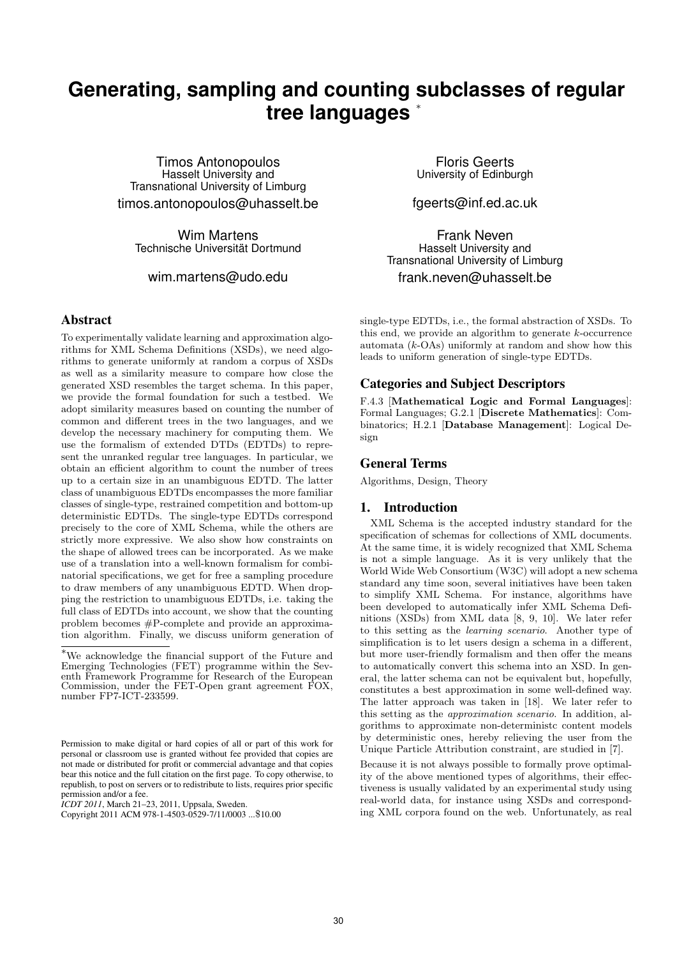# **Generating, sampling and counting subclasses of regular tree languages** <sup>∗</sup>

Timos Antonopoulos Hasselt University and Transnational University of Limburg timos.antonopoulos@uhasselt.be

Wim Martens Technische Universität Dortmund

wim.martens@udo.edu

# Abstract

To experimentally validate learning and approximation algorithms for XML Schema Definitions (XSDs), we need algorithms to generate uniformly at random a corpus of XSDs as well as a similarity measure to compare how close the generated XSD resembles the target schema. In this paper, we provide the formal foundation for such a testbed. We adopt similarity measures based on counting the number of common and different trees in the two languages, and we develop the necessary machinery for computing them. We use the formalism of extended DTDs (EDTDs) to represent the unranked regular tree languages. In particular, we obtain an efficient algorithm to count the number of trees up to a certain size in an unambiguous EDTD. The latter class of unambiguous EDTDs encompasses the more familiar classes of single-type, restrained competition and bottom-up deterministic EDTDs. The single-type EDTDs correspond precisely to the core of XML Schema, while the others are strictly more expressive. We also show how constraints on the shape of allowed trees can be incorporated. As we make use of a translation into a well-known formalism for combinatorial specifications, we get for free a sampling procedure to draw members of any unambiguous EDTD. When dropping the restriction to unambiguous EDTDs, i.e. taking the full class of EDTDs into account, we show that the counting problem becomes #P-complete and provide an approximation algorithm. Finally, we discuss uniform generation of

*ICDT 2011*, March 21–23, 2011, Uppsala, Sweden.

Floris Geerts University of Edinburgh

fgeerts@inf.ed.ac.uk

Frank Neven Hasselt University and Transnational University of Limburg frank.neven@uhasselt.be

single-type EDTDs, i.e., the formal abstraction of XSDs. To this end, we provide an algorithm to generate k-occurrence automata (k-OAs) uniformly at random and show how this leads to uniform generation of single-type EDTDs.

# Categories and Subject Descriptors

F.4.3 [Mathematical Logic and Formal Languages]: Formal Languages; G.2.1 [Discrete Mathematics]: Combinatorics; H.2.1 [Database Management]: Logical Design

## General Terms

Algorithms, Design, Theory

## 1. Introduction

XML Schema is the accepted industry standard for the specification of schemas for collections of XML documents. At the same time, it is widely recognized that XML Schema is not a simple language. As it is very unlikely that the World Wide Web Consortium (W3C) will adopt a new schema standard any time soon, several initiatives have been taken to simplify XML Schema. For instance, algorithms have been developed to automatically infer XML Schema Definitions (XSDs) from XML data [8, 9, 10]. We later refer to this setting as the learning scenario. Another type of simplification is to let users design a schema in a different, but more user-friendly formalism and then offer the means to automatically convert this schema into an XSD. In general, the latter schema can not be equivalent but, hopefully, constitutes a best approximation in some well-defined way. The latter approach was taken in [18]. We later refer to this setting as the approximation scenario. In addition, algorithms to approximate non-deterministc content models by deterministic ones, hereby relieving the user from the Unique Particle Attribution constraint, are studied in [7].

Because it is not always possible to formally prove optimality of the above mentioned types of algorithms, their effectiveness is usually validated by an experimental study using real-world data, for instance using XSDs and corresponding XML corpora found on the web. Unfortunately, as real

<sup>∗</sup>We acknowledge the financial support of the Future and Emerging Technologies (FET) programme within the Seventh Framework Programme for Research of the European Commission, under the FET-Open grant agreement FOX, number FP7-ICT-233599.

Permission to make digital or hard copies of all or part of this work for personal or classroom use is granted without fee provided that copies are not made or distributed for profit or commercial advantage and that copies bear this notice and the full citation on the first page. To copy otherwise, to republish, to post on servers or to redistribute to lists, requires prior specific permission and/or a fee.

Copyright 2011 ACM 978-1-4503-0529-7/11/0003 ...\$10.00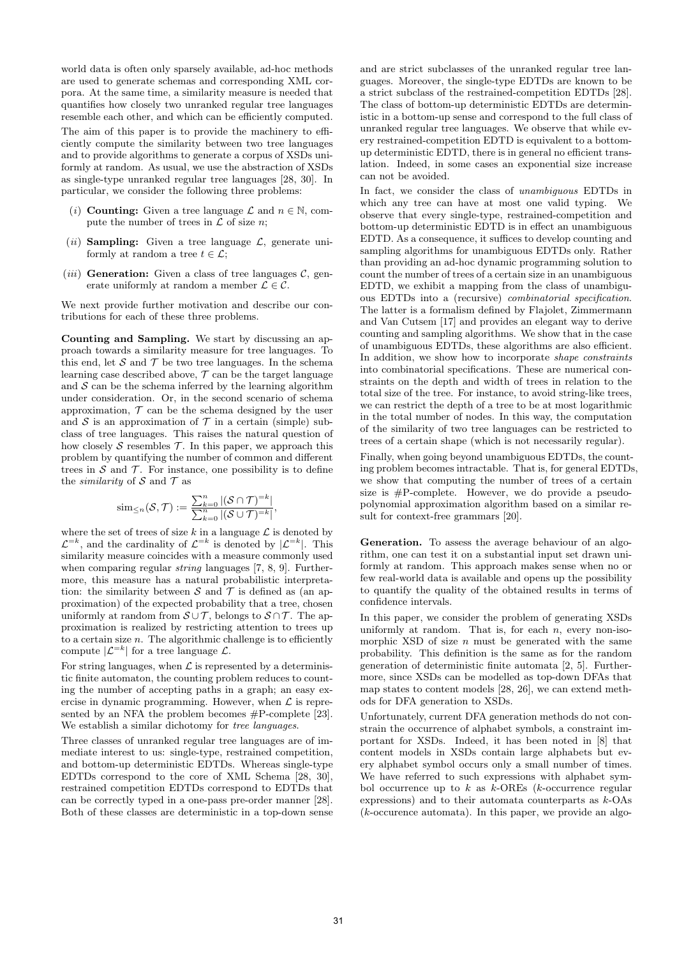world data is often only sparsely available, ad-hoc methods are used to generate schemas and corresponding XML corpora. At the same time, a similarity measure is needed that quantifies how closely two unranked regular tree languages resemble each other, and which can be efficiently computed. The aim of this paper is to provide the machinery to efficiently compute the similarity between two tree languages and to provide algorithms to generate a corpus of XSDs uniformly at random. As usual, we use the abstraction of XSDs as single-type unranked regular tree languages [28, 30]. In particular, we consider the following three problems:

- (i) **Counting:** Given a tree language  $\mathcal{L}$  and  $n \in \mathbb{N}$ , compute the number of trees in  $\mathcal L$  of size *n*;
- (ii) **Sampling:** Given a tree language  $\mathcal{L}$ , generate uniformly at random a tree  $t \in \mathcal{L}$ ;
- (*iii*) **Generation:** Given a class of tree languages  $C$ , generate uniformly at random a member  $\mathcal{L} \in \mathcal{C}$ .

We next provide further motivation and describe our contributions for each of these three problems.

Counting and Sampling. We start by discussing an approach towards a similarity measure for tree languages. To this end, let S and  $\mathcal T$  be two tree languages. In the schema learning case described above,  $\mathcal T$  can be the target language and  $S$  can be the schema inferred by the learning algorithm under consideration. Or, in the second scenario of schema approximation,  $\mathcal T$  can be the schema designed by the user and  $S$  is an approximation of  $T$  in a certain (simple) subclass of tree languages. This raises the natural question of how closely  $S$  resembles  $T$ . In this paper, we approach this problem by quantifying the number of common and different trees in  $S$  and  $T$ . For instance, one possibility is to define the *similarity* of S and T as

$$
\operatorname{sim}_{\leq n}(\mathcal{S}, \mathcal{T}) := \frac{\sum_{k=0}^{n} |(\mathcal{S} \cap \mathcal{T})^{-k}|}{\sum_{k=0}^{n} |(\mathcal{S} \cup \mathcal{T})^{-k}|},
$$

where the set of trees of size k in a language  $\mathcal L$  is denoted by  $\mathcal{L}^{=k}$ , and the cardinality of  $\mathcal{L}^{=k}$  is denoted by  $|\mathcal{L}^{=k}|$ . This similarity measure coincides with a measure commonly used when comparing regular *string* languages [7, 8, 9]. Furthermore, this measure has a natural probabilistic interpretation: the similarity between S and  $\mathcal T$  is defined as (an approximation) of the expected probability that a tree, chosen uniformly at random from  $\mathcal{S} \cup \mathcal{T}$ , belongs to  $\mathcal{S} \cap \mathcal{T}$ . The approximation is realized by restricting attention to trees up to a certain size  $n$ . The algorithmic challenge is to efficiently compute  $|\mathcal{L}^{=k}|$  for a tree language  $\mathcal{L}$ .

For string languages, when  $\mathcal L$  is represented by a deterministic finite automaton, the counting problem reduces to counting the number of accepting paths in a graph; an easy exercise in dynamic programming. However, when  $\mathcal L$  is represented by an NFA the problem becomes #P-complete [23]. We establish a similar dichotomy for tree languages.

Three classes of unranked regular tree languages are of immediate interest to us: single-type, restrained competition, and bottom-up deterministic EDTDs. Whereas single-type EDTDs correspond to the core of XML Schema [28, 30], restrained competition EDTDs correspond to EDTDs that can be correctly typed in a one-pass pre-order manner [28]. Both of these classes are deterministic in a top-down sense

and are strict subclasses of the unranked regular tree languages. Moreover, the single-type EDTDs are known to be a strict subclass of the restrained-competition EDTDs [28]. The class of bottom-up deterministic EDTDs are deterministic in a bottom-up sense and correspond to the full class of unranked regular tree languages. We observe that while every restrained-competition EDTD is equivalent to a bottomup deterministic EDTD, there is in general no efficient translation. Indeed, in some cases an exponential size increase can not be avoided.

In fact, we consider the class of unambiguous EDTDs in which any tree can have at most one valid typing. We observe that every single-type, restrained-competition and bottom-up deterministic EDTD is in effect an unambiguous EDTD. As a consequence, it suffices to develop counting and sampling algorithms for unambiguous EDTDs only. Rather than providing an ad-hoc dynamic programming solution to count the number of trees of a certain size in an unambiguous EDTD, we exhibit a mapping from the class of unambiguous EDTDs into a (recursive) combinatorial specification. The latter is a formalism defined by Flajolet, Zimmermann and Van Cutsem [17] and provides an elegant way to derive counting and sampling algorithms. We show that in the case of unambiguous EDTDs, these algorithms are also efficient. In addition, we show how to incorporate *shape constraints* into combinatorial specifications. These are numerical constraints on the depth and width of trees in relation to the total size of the tree. For instance, to avoid string-like trees, we can restrict the depth of a tree to be at most logarithmic in the total number of nodes. In this way, the computation of the similarity of two tree languages can be restricted to trees of a certain shape (which is not necessarily regular).

Finally, when going beyond unambiguous EDTDs, the counting problem becomes intractable. That is, for general EDTDs, we show that computing the number of trees of a certain size is #P-complete. However, we do provide a pseudopolynomial approximation algorithm based on a similar result for context-free grammars [20].

Generation. To assess the average behaviour of an algorithm, one can test it on a substantial input set drawn uniformly at random. This approach makes sense when no or few real-world data is available and opens up the possibility to quantify the quality of the obtained results in terms of confidence intervals.

In this paper, we consider the problem of generating XSDs uniformly at random. That is, for each  $n$ , every non-isomorphic XSD of size  $n$  must be generated with the same probability. This definition is the same as for the random generation of deterministic finite automata [2, 5]. Furthermore, since XSDs can be modelled as top-down DFAs that map states to content models [28, 26], we can extend methods for DFA generation to XSDs.

Unfortunately, current DFA generation methods do not constrain the occurrence of alphabet symbols, a constraint important for XSDs. Indeed, it has been noted in [8] that content models in XSDs contain large alphabets but every alphabet symbol occurs only a small number of times. We have referred to such expressions with alphabet symbol occurrence up to  $k$  as  $k$ -OREs ( $k$ -occurrence regular expressions) and to their automata counterparts as  $k$ -OAs  $(k$ -occurence automata). In this paper, we provide an algo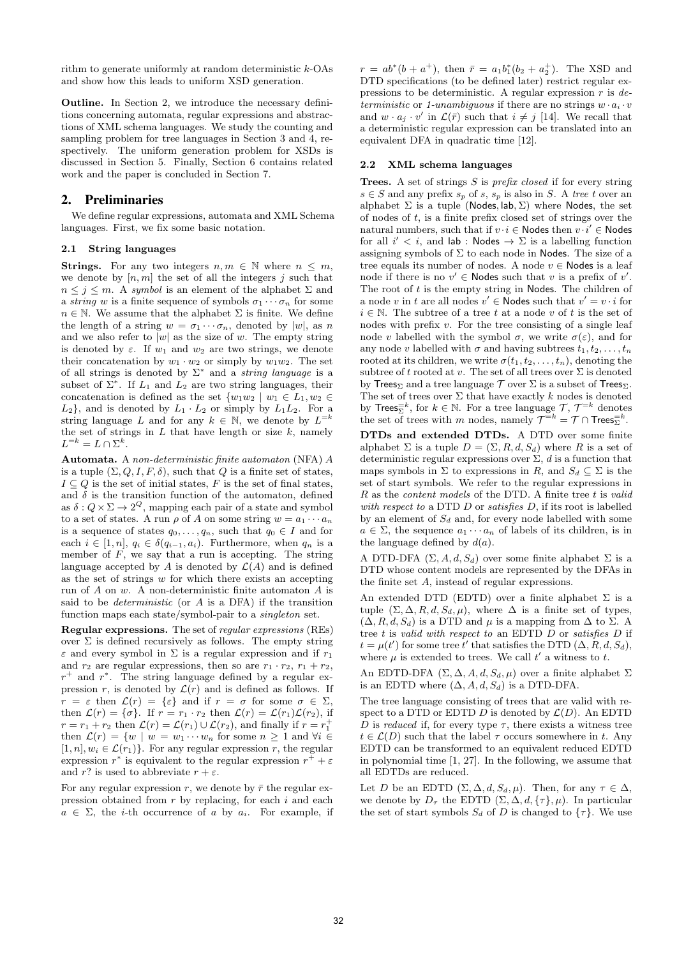rithm to generate uniformly at random deterministic k-OAs and show how this leads to uniform XSD generation.

Outline. In Section 2, we introduce the necessary definitions concerning automata, regular expressions and abstractions of XML schema languages. We study the counting and sampling problem for tree languages in Section 3 and 4, respectively. The uniform generation problem for XSDs is discussed in Section 5. Finally, Section 6 contains related work and the paper is concluded in Section 7.

## 2. Preliminaries

We define regular expressions, automata and XML Schema languages. First, we fix some basic notation.

### 2.1 String languages

**Strings.** For any two integers  $n, m \in \mathbb{N}$  where  $n \leq m$ , we denote by  $[n, m]$  the set of all the integers j such that  $n \leq j \leq m$ . A symbol is an element of the alphabet  $\Sigma$  and a string w is a finite sequence of symbols  $\sigma_1 \cdots \sigma_n$  for some  $n \in \mathbb{N}$ . We assume that the alphabet  $\Sigma$  is finite. We define the length of a string  $w = \sigma_1 \cdots \sigma_n$ , denoted by  $|w|$ , as n and we also refer to  $|w|$  as the size of w. The empty string is denoted by  $\varepsilon$ . If  $w_1$  and  $w_2$  are two strings, we denote their concatenation by  $w_1 \cdot w_2$  or simply by  $w_1w_2$ . The set of all strings is denoted by  $\Sigma^*$  and a *string language* is a subset of  $\Sigma^*$ . If  $L_1$  and  $L_2$  are two string languages, their concatenation is defined as the set  $\{w_1w_2 \mid w_1 \in L_1, w_2 \in$  $L_2$ , and is denoted by  $L_1 \cdot L_2$  or simply by  $L_1L_2$ . For a string language L and for any  $k \in \mathbb{N}$ , we denote by  $L^{-k}$ the set of strings in  $L$  that have length or size  $k$ , namely  $L^{=k} = L \cap \Sigma^k$ .

Automata. A non-deterministic finite automaton (NFA) A is a tuple  $(\Sigma, Q, I, F, \delta)$ , such that Q is a finite set of states,  $I \subseteq Q$  is the set of initial states, F is the set of final states, and  $\delta$  is the transition function of the automaton, defined as  $\delta: Q \times \Sigma \to 2^Q$ , mapping each pair of a state and symbol to a set of states. A run  $\rho$  of A on some string  $w = a_1 \cdots a_n$ is a sequence of states  $q_0, \ldots, q_n$ , such that  $q_0 \in I$  and for each  $i \in [1, n], q_i \in \delta(q_{i-1}, a_i)$ . Furthermore, when  $q_n$  is a member of  $F$ , we say that a run is accepting. The string language accepted by A is denoted by  $\mathcal{L}(A)$  and is defined as the set of strings  $w$  for which there exists an accepting run of A on w. A non-deterministic finite automaton A is said to be deterministic (or A is a DFA) if the transition function maps each state/symbol-pair to a singleton set.

Regular expressions. The set of regular expressions (REs) over  $\Sigma$  is defined recursively as follows. The empty string  $\varepsilon$  and every symbol in  $\Sigma$  is a regular expression and if  $r_1$ and  $r_2$  are regular expressions, then so are  $r_1 \cdot r_2$ ,  $r_1 + r_2$ ,  $r^+$  and  $r^*$ . The string language defined by a regular expression r, is denoted by  $\mathcal{L}(r)$  and is defined as follows. If  $r = \varepsilon$  then  $\mathcal{L}(r) = {\varepsilon}$  and if  $r = \sigma$  for some  $\sigma \in \Sigma$ , then  $\mathcal{L}(r) = \{\sigma\}$ . If  $r = r_1 \cdot r_2$  then  $\mathcal{L}(r) = \mathcal{L}(r_1)\mathcal{L}(r_2)$ , if  $r = r_1 + r_2$  then  $\mathcal{L}(r) = \mathcal{L}(r_1) \cup \mathcal{L}(r_2)$ , and finally if  $r = r_1^+$ then  $\mathcal{L}(r) = \{w \mid w = w_1 \cdots w_n \text{ for some } n \geq 1 \text{ and } \forall i \in \mathbb{R} \}$  $[1, n], w_i \in \mathcal{L}(r_1)$ . For any regular expression r, the regular expression  $r^*$  is equivalent to the regular expression  $r^+ + \varepsilon$ and r? is used to abbreviate  $r + \varepsilon$ .

For any regular expression r, we denote by  $\bar{r}$  the regular expression obtained from  $r$  by replacing, for each  $i$  and each  $a \in \Sigma$ , the *i*-th occurrence of a by  $a_i$ . For example, if

 $r = ab^*(b + a^+),$  then  $\bar{r} = a_1b_1^*(b_2 + a_2^+)$ . The XSD and DTD specifications (to be defined later) restrict regular expressions to be deterministic. A regular expression  $r$  is deterministic or 1-unambiguous if there are no strings  $w \cdot a_i \cdot v$ and  $w \cdot a_j \cdot v'$  in  $\mathcal{L}(\bar{r})$  such that  $i \neq j$  [14]. We recall that a deterministic regular expression can be translated into an equivalent DFA in quadratic time [12].

#### 2.2 XML schema languages

**Trees.** A set of strings  $S$  is prefix closed if for every string  $s \in S$  and any prefix  $s_n$  of s,  $s_n$  is also in S. A tree t over an alphabet  $\Sigma$  is a tuple (Nodes, lab,  $\Sigma$ ) where Nodes, the set of nodes of  $t$ , is a finite prefix closed set of strings over the natural numbers, such that if  $v \cdot i \in \mathsf{Nodes}$  then  $v \cdot i' \in \mathsf{Nodes}$ for all  $i' < i$ , and lab : Nodes  $\rightarrow \Sigma$  is a labelling function assigning symbols of  $\Sigma$  to each node in Nodes. The size of a tree equals its number of nodes. A node  $v \in \mathsf{Nodes}$  is a leaf node if there is no  $v' \in$  Nodes such that v is a prefix of v'. The root of t is the empty string in Nodes. The children of a node v in t are all nodes  $v' \in \mathsf{Nodes}$  such that  $v' = v \cdot i$  for  $i \in \mathbb{N}$ . The subtree of a tree t at a node v of t is the set of nodes with prefix  $v$ . For the tree consisting of a single leaf node v labelled with the symbol  $\sigma$ , we write  $\sigma(\varepsilon)$ , and for any node v labelled with  $\sigma$  and having subtrees  $t_1, t_2, \ldots, t_n$ rooted at its children, we write  $\sigma(t_1, t_2, \ldots, t_n)$ , denoting the subtree of t rooted at v. The set of all trees over  $\Sigma$  is denoted by Trees<sub>Σ</sub> and a tree language  $\mathcal T$  over  $\Sigma$  is a subset of Trees<sub>Σ</sub>. The set of trees over  $\Sigma$  that have exactly k nodes is denoted by Trees $\overline{z}^k$ , for  $k \in \mathbb{N}$ . For a tree language  $\mathcal{T}, \mathcal{T}^{-k}$  denotes the set of trees with m nodes, namely  $\mathcal{T}^{=k} = \mathcal{T} \cap \text{Trees}_{\Sigma}^{=k}$ .

DTDs and extended DTDs. A DTD over some finite alphabet  $\Sigma$  is a tuple  $D = (\Sigma, R, d, S_d)$  where R is a set of deterministic regular expressions over  $\Sigma$ , d is a function that maps symbols in  $\Sigma$  to expressions in R, and  $S_d \subseteq \Sigma$  is the set of start symbols. We refer to the regular expressions in  $R$  as the *content models* of the DTD. A finite tree  $t$  is *valid* with respect to a DTD  $D$  or satisfies  $D$ , if its root is labelled by an element of  $S_d$  and, for every node labelled with some  $a \in \Sigma$ , the sequence  $a_1 \cdots a_n$  of labels of its children, is in the language defined by  $d(a)$ .

A DTD-DFA  $(\Sigma, A, d, S_d)$  over some finite alphabet  $\Sigma$  is a DTD whose content models are represented by the DFAs in the finite set A, instead of regular expressions.

An extended DTD (EDTD) over a finite alphabet  $\Sigma$  is a tuple  $(\Sigma, \Delta, R, d, S_d, \mu)$ , where  $\Delta$  is a finite set of types,  $(\Delta, R, d, S_d)$  is a DTD and  $\mu$  is a mapping from  $\Delta$  to  $\Sigma$ . A tree t is valid with respect to an EDTD  $D$  or satisfies  $D$  if  $t = \mu(t')$  for some tree t' that satisfies the DTD  $(\Delta, R, d, S_d)$ , where  $\mu$  is extended to trees. We call  $t'$  a witness to t.

An EDTD-DFA  $(\Sigma, \Delta, A, d, S_d, \mu)$  over a finite alphabet  $\Sigma$ is an EDTD where  $(\Delta, A, d, S_d)$  is a DTD-DFA.

The tree language consisting of trees that are valid with respect to a DTD or EDTD D is denoted by  $\mathcal{L}(D)$ . An EDTD D is reduced if, for every type  $\tau$ , there exists a witness tree  $t \in \mathcal{L}(D)$  such that the label  $\tau$  occurs somewhere in t. Any EDTD can be transformed to an equivalent reduced EDTD in polynomial time [1, 27]. In the following, we assume that all EDTDs are reduced.

Let D be an EDTD  $(\Sigma, \Delta, d, S_d, \mu)$ . Then, for any  $\tau \in \Delta$ , we denote by  $D_{\tau}$  the EDTD  $(\Sigma, \Delta, d, {\tau}, \mu)$ . In particular the set of start symbols  $S_d$  of D is changed to  $\{\tau\}$ . We use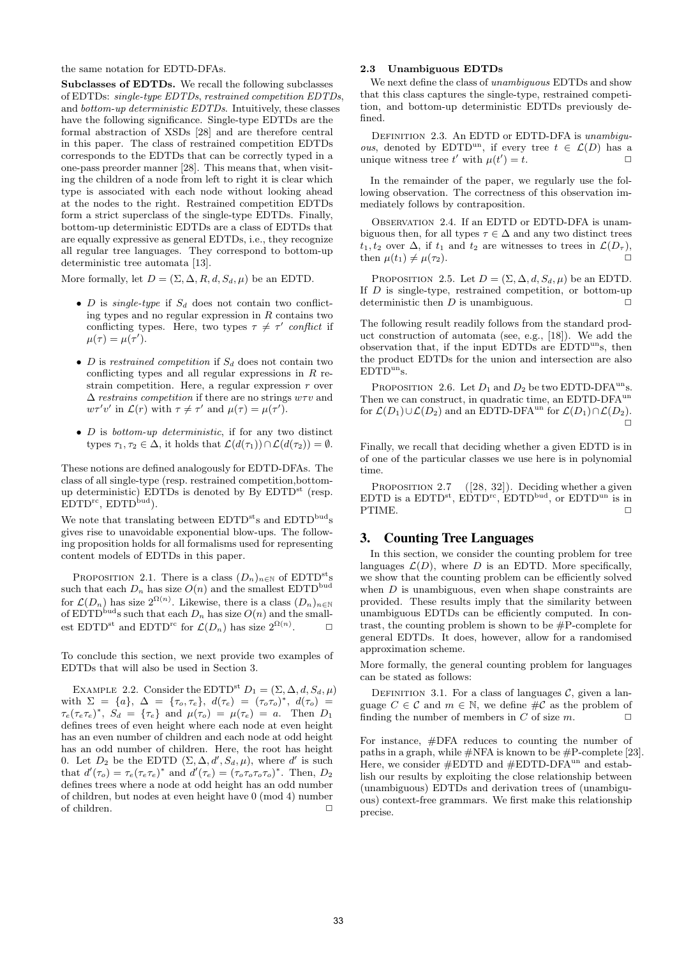the same notation for EDTD-DFAs.

Subclasses of EDTDs. We recall the following subclasses of EDTDs: single-type EDTDs, restrained competition EDTDs, and bottom-up deterministic EDTDs. Intuitively, these classes have the following significance. Single-type EDTDs are the formal abstraction of XSDs [28] and are therefore central in this paper. The class of restrained competition EDTDs corresponds to the EDTDs that can be correctly typed in a one-pass preorder manner [28]. This means that, when visiting the children of a node from left to right it is clear which type is associated with each node without looking ahead at the nodes to the right. Restrained competition EDTDs form a strict superclass of the single-type EDTDs. Finally, bottom-up deterministic EDTDs are a class of EDTDs that are equally expressive as general EDTDs, i.e., they recognize all regular tree languages. They correspond to bottom-up deterministic tree automata [13].

More formally, let  $D = (\Sigma, \Delta, R, d, S_d, \mu)$  be an EDTD.

- D is single-type if  $S_d$  does not contain two conflicting types and no regular expression in  $R$  contains two conflicting types. Here, two types  $\tau \neq \tau'$  conflict if  $\mu(\tau) = \mu(\tau').$
- D is restrained competition if  $S_d$  does not contain two conflicting types and all regular expressions in  $R$  restrain competition. Here, a regular expression  $r$  over  $\Delta$  restrains competition if there are no strings  $w\tau v$  and  $w\tau'v'$  in  $\mathcal{L}(r)$  with  $\tau \neq \tau'$  and  $\mu(\tau) = \mu(\tau').$
- $D$  is bottom-up deterministic, if for any two distinct types  $\tau_1, \tau_2 \in \Delta$ , it holds that  $\mathcal{L}(d(\tau_1)) \cap \mathcal{L}(d(\tau_2)) = \emptyset$ .

These notions are defined analogously for EDTD-DFAs. The class of all single-type (resp. restrained competition,bottomup deterministic) EDTDs is denoted by By  $EDTD<sup>st</sup>$  (resp.  $EDTD<sup>rc</sup>$ ,  $EDTD<sup>bud</sup>$ ).

We note that translating between  $EDTD^{st}$ s and  $EDTD^{bud}$ s gives rise to unavoidable exponential blow-ups. The following proposition holds for all formalisms used for representing content models of EDTDs in this paper.

PROPOSITION 2.1. There is a class  $(D_n)_{n\in\mathbb{N}}$  of EDTD<sup>st</sup>s such that each  $D_n$  has size  $O(n)$  and the smallest EDTD<sup>bud</sup> for  $\mathcal{L}(D_n)$  has size  $2^{\Omega(n)}$ . Likewise, there is a class  $(D_n)_{n\in\mathbb{N}}$ of EDTD<sup>bud</sup>s such that each  $D_n$  has size  $O(n)$  and the smallest EDTD<sup>st</sup> and EDTD<sup>rc</sup> for  $\mathcal{L}(D_n)$  has size  $2^{\Omega(n)}$ .  $\Box$ 

To conclude this section, we next provide two examples of EDTDs that will also be used in Section 3.

EXAMPLE 2.2. Consider the EDTD<sup>st</sup>  $D_1 = (\Sigma, \Delta, d, S_d, \mu)$ with  $\Sigma = \{a\}, \ \Delta = \{\tau_o, \tau_e\}, \ d(\tau_e) = (\tau_o \tau_o)^*, \ d(\tau_o) =$  $\tau_e(\tau_e \tau_e)^*$ ,  $S_d = {\tau_e}$  and  $\mu(\tau_o) = \mu(\tau_e) = a$ . Then  $D_1$ defines trees of even height where each node at even height has an even number of children and each node at odd height has an odd number of children. Here, the root has height 0. Let  $D_2$  be the EDTD  $(\Sigma, \Delta, d', S_d, \mu)$ , where d' is such that  $d'(\tau_o) = \tau_e(\tau_e \tau_e)^*$  and  $d'(\tau_e) = (\tau_o \tau_o \tau_o \tau_o)^*$ . Then,  $D_2$ defines trees where a node at odd height has an odd number of children, but nodes at even height have 0 (mod 4) number of children. ✷

#### 2.3 Unambiguous EDTDs

We next define the class of *unambiguous* EDTDs and show that this class captures the single-type, restrained competition, and bottom-up deterministic EDTDs previously defined.

DEFINITION 2.3. An EDTD or EDTD-DFA is unambiqu*ous*, denoted by EDTD<sup>un</sup>, if every tree  $t \in \mathcal{L}(D)$  has a unique witness tree  $t'$  with  $\mu(t') = t$ .

In the remainder of the paper, we regularly use the following observation. The correctness of this observation immediately follows by contraposition.

Observation 2.4. If an EDTD or EDTD-DFA is unambiguous then, for all types  $\tau \in \Delta$  and any two distinct trees  $t_1, t_2$  over  $\Delta$ , if  $t_1$  and  $t_2$  are witnesses to trees in  $\mathcal{L}(D_\tau)$ , then  $\mu(t_1) \neq \mu(\tau_2)$ .

PROPOSITION 2.5. Let  $D = (\Sigma, \Delta, d, S_d, \mu)$  be an EDTD. If D is single-type, restrained competition, or bottom-up deterministic then  $D$  is unambiguous.  $\square$ 

The following result readily follows from the standard product construction of automata (see, e.g., [18]). We add the observation that, if the input EDTDs are  $EDTD^{un}$ s, then the product EDTDs for the union and intersection are also  $EDTD<sup>un</sup>s$ .

PROPOSITION 2.6. Let  $D_1$  and  $D_2$  be two EDTD-DFA<sup>un</sup>s. Then we can construct, in quadratic time, an EDTD-DFA<sup>un</sup> for  $\mathcal{L}(D_1)\cup\mathcal{L}(D_2)$  and an EDTD-DFA<sup>un</sup> for  $\mathcal{L}(D_1)\cap\mathcal{L}(D_2)$ .  $\Box$ 

Finally, we recall that deciding whether a given EDTD is in of one of the particular classes we use here is in polynomial time.

PROPOSITION 2.7  $([28, 32])$ . Deciding whether a given EDTD is a  $EDTD^{st}$ ,  $EDTD^{rc}$ ,  $EDTD^{bud}$ , or  $EDTD^{un}$  is in PTIME.

## 3. Counting Tree Languages

In this section, we consider the counting problem for tree languages  $\mathcal{L}(D)$ , where D is an EDTD. More specifically, we show that the counting problem can be efficiently solved when  $D$  is unambiguous, even when shape constraints are provided. These results imply that the similarity between unambiguous EDTDs can be efficiently computed. In contrast, the counting problem is shown to be  $\#P$ -complete for general EDTDs. It does, however, allow for a randomised approximation scheme.

More formally, the general counting problem for languages can be stated as follows:

DEFINITION 3.1. For a class of languages  $\mathcal{C}$ , given a language  $C \in \mathcal{C}$  and  $m \in \mathbb{N}$ , we define  $\#\mathcal{C}$  as the problem of finding the number of members in  $C$  of size  $m$ .  $\square$ 

For instance, #DFA reduces to counting the number of paths in a graph, while  $\#NFA$  is known to be  $\#P$ -complete [23]. Here, we consider #EDTD and #EDTD-DFA<sup>un</sup> and establish our results by exploiting the close relationship between (unambiguous) EDTDs and derivation trees of (unambiguous) context-free grammars. We first make this relationship precise.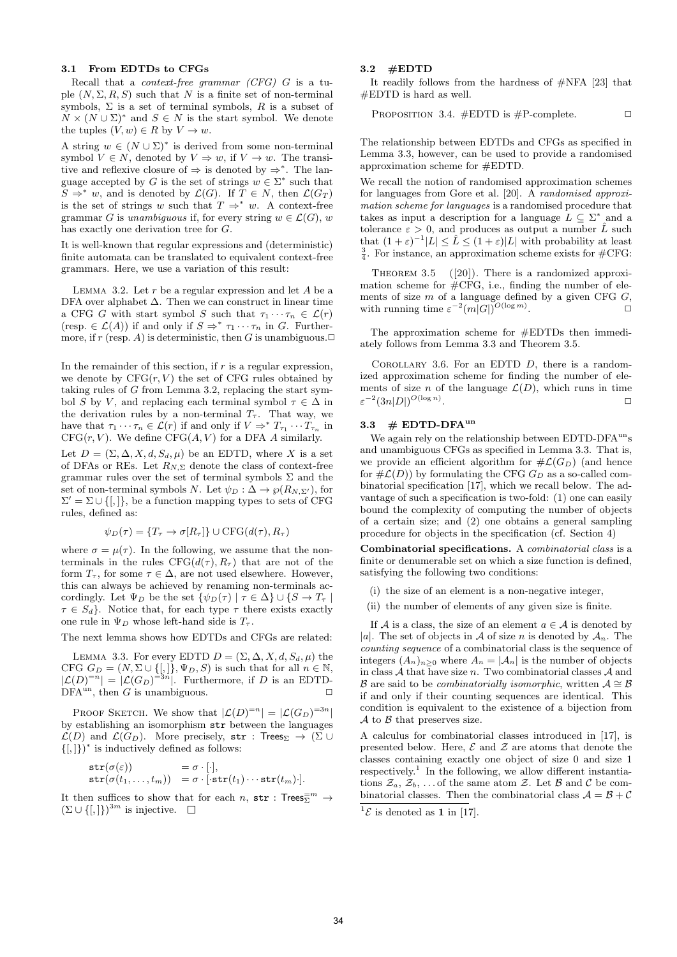#### 3.1 From EDTDs to CFGs

Recall that a context-free grammar (CFG) G is a tuple  $(N, \Sigma, R, S)$  such that N is a finite set of non-terminal symbols,  $\Sigma$  is a set of terminal symbols, R is a subset of  $N \times (N \cup \Sigma)^*$  and  $S \in N$  is the start symbol. We denote the tuples  $(V, w) \in R$  by  $V \to w$ .

A string  $w \in (N \cup \Sigma)^*$  is derived from some non-terminal symbol  $V \in N$ , denoted by  $V \Rightarrow w$ , if  $V \rightarrow w$ . The transitive and reflexive closure of  $\Rightarrow$  is denoted by  $\Rightarrow^*$ . The language accepted by G is the set of strings  $w \in \Sigma^*$  such that  $S \Rightarrow^* w$ , and is denoted by  $\mathcal{L}(G)$ . If  $T \in N$ , then  $\mathcal{L}(G_T)$ is the set of strings w such that  $T \Rightarrow^* w$ . A context-free grammar G is unambiguous if, for every string  $w \in \mathcal{L}(G)$ , w has exactly one derivation tree for G.

It is well-known that regular expressions and (deterministic) finite automata can be translated to equivalent context-free grammars. Here, we use a variation of this result:

LEMMA 3.2. Let  $r$  be a regular expression and let  $A$  be a DFA over alphabet  $\Delta$ . Then we can construct in linear time a CFG G with start symbol S such that  $\tau_1 \cdots \tau_n \in \mathcal{L}(r)$ (resp.  $\in \mathcal{L}(A)$ ) if and only if  $S \Rightarrow^* \tau_1 \cdots \tau_n$  in G. Furthermore, if r (resp. A) is deterministic, then G is unambiguous. $\Box$ 

In the remainder of this section, if  $r$  is a regular expression, we denote by  $CFG(r, V)$  the set of CFG rules obtained by taking rules of G from Lemma 3.2, replacing the start symbol S by V, and replacing each terminal symbol  $\tau \in \Delta$  in the derivation rules by a non-terminal  $T_{\tau}$ . That way, we have that  $\tau_1 \cdots \tau_n \in \mathcal{L}(r)$  if and only if  $V \Rightarrow^* T_{\tau_1} \cdots T_{\tau_n}$  in  $CFG(r, V)$ . We define  $CFG(A, V)$  for a DFA A similarly.

Let  $D = (\Sigma, \Delta, X, d, S_d, \mu)$  be an EDTD, where X is a set of DFAs or REs. Let  $R_{N,\Sigma}$  denote the class of context-free grammar rules over the set of terminal symbols  $\Sigma$  and the set of non-terminal symbols N. Let  $\psi_D : \Delta \to \wp(R_{N,\Sigma'})$ , for  $\Sigma' = \Sigma \cup \{[, \}$ , be a function mapping types to sets of CFG rules, defined as:

$$
\psi_D(\tau) = \{T_\tau \to \sigma[R_\tau]\} \cup \text{CFG}(d(\tau), R_\tau)
$$

where  $\sigma = \mu(\tau)$ . In the following, we assume that the nonterminals in the rules  $CFG(d(\tau), R_{\tau})$  that are not of the form  $T_{\tau}$ , for some  $\tau \in \Delta$ , are not used elsewhere. However, this can always be achieved by renaming non-terminals accordingly. Let  $\Psi_D$  be the set  $\{\psi_D(\tau) \mid \tau \in \Delta\} \cup \{S \to T_\tau \mid$  $\tau \in S_d$ . Notice that, for each type  $\tau$  there exists exactly one rule in  $\Psi_D$  whose left-hand side is  $T_{\tau}$ .

The next lemma shows how EDTDs and CFGs are related:

LEMMA 3.3. For every EDTD  $D = (\Sigma, \Delta, X, d, S_d, \mu)$  the CFG  $G_D = (N, \Sigma \cup \{[,]\}, \Psi_D, S)$  is such that for all  $n \in \mathbb{N}$ ,  $|\mathcal{L}(D)^{=n}| = |\mathcal{L}(G_D)^{=3n}|$ . Furthermore, if D is an EDTD- $DFA^{un}$ , then G is unambiguous.

PROOF SKETCH. We show that  $|\mathcal{L}(D)^{=n}| = |\mathcal{L}(G_D)^{=3n}|$ by establishing an isomorphism str between the languages  $\mathcal{L}(D)$  and  $\mathcal{L}(G_D)$ . More precisely, str : Trees<sub>Σ</sub>  $\rightarrow$  (Σ ∪  $\{[,]\}$ <sup>\*</sup> is inductively defined as follows:

$$
\begin{array}{ll}\n\texttt{str}(\sigma(\varepsilon)) & = \sigma \cdot [\cdot], \\
\texttt{str}(\sigma(t_1, \ldots, t_m)) & = \sigma \cdot [\texttt{str}(t_1) \cdots \texttt{str}(t_m)]\n\end{array}.
$$

It then suffices to show that for each  $n$ ,  $str : Trees_{\Sigma}^{-m} \rightarrow$  $(\Sigma \cup \{[,]\})^{3m}$  is injective.

#### 3.2 #EDTD

It readily follows from the hardness of #NFA [23] that #EDTD is hard as well.

PROPOSITION 3.4. 
$$
\#EDTD
$$
 is  $\#P$ -complete.  $\Box$ 

The relationship between EDTDs and CFGs as specified in Lemma 3.3, however, can be used to provide a randomised approximation scheme for #EDTD.

We recall the notion of randomised approximation schemes for languages from Gore et al. [20]. A randomised approximation scheme for languages is a randomised procedure that takes as input a description for a language  $L \subseteq \Sigma^*$  and a tolerance  $\varepsilon > 0$ , and produces as output a number  $\hat{L}$  such that  $(1+\varepsilon)^{-1} |L| \leq \hat{L} \leq (1+\varepsilon)|L|$  with probability at least  $\frac{3}{4}$ . For instance, an approximation scheme exists for #CFG:

THEOREM 3.5  $([20])$ . There is a randomized approximation scheme for  $\# \tilde{C}FG$ , i.e., finding the number of elements of size  $m$  of a language defined by a given CFG  $G$ . with running time  $\varepsilon^{-2}(m|G|)^{O(\log m)}$ .  $\Box$ 

The approximation scheme for #EDTDs then immediately follows from Lemma 3.3 and Theorem 3.5.

COROLLARY 3.6. For an EDTD  $D$ , there is a randomized approximation scheme for finding the number of elements of size *n* of the language  $\mathcal{L}(D)$ , which runs in time  $\varepsilon^{-2}(3n|D|)^{O(\log n)}$ . ✷

#### 3.3  $#$  EDTD-DFA<sup>un</sup>

We again rely on the relationship between EDTD-DFA<sup>un</sup>s and unambiguous CFGs as specified in Lemma 3.3. That is, we provide an efficient algorithm for  $\# \mathcal{L}(G_D)$  (and hence for  $\# \mathcal{L}(D)$  by formulating the CFG  $G_D$  as a so-called combinatorial specification [17], which we recall below. The advantage of such a specification is two-fold: (1) one can easily bound the complexity of computing the number of objects of a certain size; and (2) one obtains a general sampling procedure for objects in the specification (cf. Section 4)

Combinatorial specifications. A combinatorial class is a finite or denumerable set on which a size function is defined, satisfying the following two conditions:

- (i) the size of an element is a non-negative integer,
- (ii) the number of elements of any given size is finite.

If A is a class, the size of an element  $a \in \mathcal{A}$  is denoted by |a|. The set of objects in A of size n is denoted by  $A_n$ . The counting sequence of a combinatorial class is the sequence of integers  $(A_n)_{n\geq 0}$  where  $A_n = |A_n|$  is the number of objects in class  $A$  that have size  $n$ . Two combinatorial classes  $A$  and B are said to be *combinatorially isomorphic*, written  $A \cong B$ if and only if their counting sequences are identical. This condition is equivalent to the existence of a bijection from  $\mathcal A$  to  $\mathcal B$  that preserves size.

A calculus for combinatorial classes introduced in [17], is presented below. Here,  $\mathcal E$  and  $\mathcal Z$  are atoms that denote the classes containing exactly one object of size 0 and size 1 respectively.<sup>1</sup> In the following, we allow different instantiations  $\mathcal{Z}_a, \mathcal{Z}_b, \ldots$  of the same atom  $\mathcal{Z}$ . Let  $\mathcal{B}$  and  $\mathcal{C}$  be combinatorial classes. Then the combinatorial class  $\mathcal{A} = \mathcal{B} + \mathcal{C}$ 

 $^{1}\mathcal{E}$  is denoted as 1 in [17].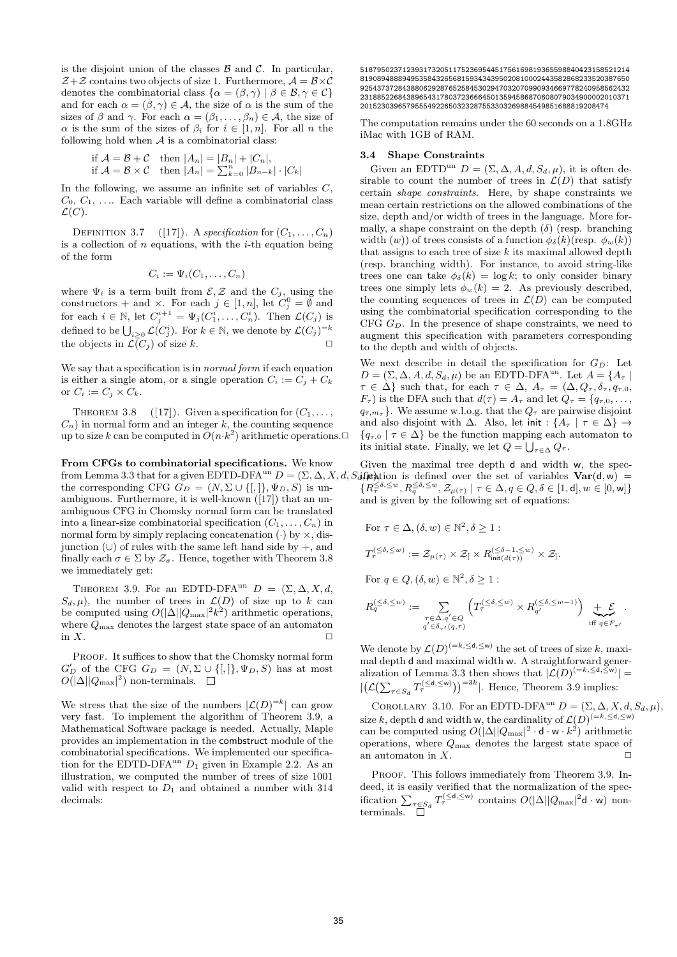is the disjoint union of the classes  $\beta$  and  $\beta$ . In particular,  $\mathcal{Z}+\mathcal{Z}$  contains two objects of size 1. Furthermore,  $\mathcal{A}=\mathcal{B}\times\mathcal{C}$ denotes the combinatorial class  $\{\alpha = (\beta, \gamma) | \beta \in \mathcal{B}, \gamma \in \mathcal{C}\}\$ and for each  $\alpha = (\beta, \gamma) \in \mathcal{A}$ , the size of  $\alpha$  is the sum of the sizes of  $\beta$  and  $\gamma$ . For each  $\alpha = (\beta_1, \ldots, \beta_n) \in \mathcal{A}$ , the size of  $\alpha$  is the sum of the sizes of  $\beta_i$  for  $i \in [1, n]$ . For all n the following hold when  $A$  is a combinatorial class:

if 
$$
A = B + C
$$
 then  $|A_n| = |B_n| + |C_n|$ ,  
if  $A = B \times C$  then  $|A_n| = \sum_{k=0}^{n} |B_{n-k}| \cdot |C_k|$ 

In the following, we assume an infinite set of variables  $C$ ,  $C_0, C_1, \ldots$  Each variable will define a combinatorial class  $\mathcal{L}(C)$ .

DEFINITION 3.7 ([17]). A specification for  $(C_1, \ldots, C_n)$ is a collection of  $n$  equations, with the  $i$ -th equation being of the form

$$
C_i := \Psi_i(C_1, \ldots, C_n)
$$

where  $\Psi_i$  is a term built from  $\mathcal{E}, \mathcal{Z}$  and the  $C_j$ , using the constructors + and  $\times$ . For each  $j \in [1, n]$ , let  $C_j^0 = \emptyset$  and for each  $i \in \mathbb{N}$ , let  $C_j^{i+1} = \Psi_j(C_1^i, \ldots, C_n^i)$ . Then  $\mathcal{L}(C_j)$  is defined to be  $\bigcup_{i\geq 0} \mathcal{L}(C_j^i)$ . For  $k \in \mathbb{N}$ , we denote by  $\mathcal{L}(C_j)^{=k}$ the objects in  $\mathcal{L}(C_i)$  of size k.

We say that a specification is in *normal form* if each equation is either a single atom, or a single operation  $C_i := C_j + C_k$ or  $C_i := C_j \times C_k$ .

THEOREM 3.8 ([17]). Given a specification for  $(C_1, \ldots,$  $C_n$ ) in normal form and an integer k, the counting sequence up to size k can be computed in  $O(n \cdot k^2)$  arithmetic operations.

From CFGs to combinatorial specifications. We know the corresponding CFG  $G_D = (N, \Sigma \cup \{[,]\}, \Psi_D, S)$  is unambiguous. Furthermore, it is well-known ([17]) that an unambiguous CFG in Chomsky normal form can be translated into a linear-size combinatorial specification  $(C_1, \ldots, C_n)$  in normal form by simply replacing concatenation  $(\cdot)$  by  $\times$ , disjunction  $(\cup)$  of rules with the same left hand side by  $+$ , and finally each  $\sigma \in \Sigma$  by  $\mathcal{Z}_{\sigma}$ . Hence, together with Theorem 3.8 we immediately get:

THEOREM 3.9. For an EDTD-DFA<sup>un</sup>  $D = (\Sigma, \Delta, X, d, \Delta)$  $S_d, \mu$ , the number of trees in  $\mathcal{L}(D)$  of size up to k can be computed using  $O(|\Delta| |Q_{\text{max}}|^2 k^2)$  arithmetic operations, where  $Q_{\text{max}}$  denotes the largest state space of an automaton in  $X$ .

PROOF. It suffices to show that the Chomsky normal form  $G'_D$  of the CFG  $G_D = (N, \Sigma \cup \{[,]\}, \Psi_D, S)$  has at most  $O(|\Delta||Q_{\text{max}}|^2)$  non-terminals.

We stress that the size of the numbers  $|\mathcal{L}(D)|^{-k}$  can grow very fast. To implement the algorithm of Theorem 3.9, a Mathematical Software package is needed. Actually, Maple provides an implementation in the combstruct module of the combinatorial specifications. We implemented our specification for the EDTD-DFA<sup>un</sup>  $D_1$  given in Example 2.2. As an illustration, we computed the number of trees of size 1001 valid with respect to  $D_1$  and obtained a number with 314 decimals:

5187950237123931732051175236954451756169819365598840423158521214 8190894888949535843265681593434395020810002443582868233520387650 9254373728438806292876525845302947032070990934669778240958562432 2318852268438965431780372366645013594586870608079034900002010371 20152303965795554922650323287553303269884549851688819208474

The computation remains under the 60 seconds on a 1.8GHz iMac with 1GB of RAM.

#### 3.4 Shape Constraints

Given an EDTD<sup>un</sup>  $D = (\Sigma, \Delta, A, d, S_d, \mu)$ , it is often desirable to count the number of trees in  $\mathcal{L}(D)$  that satisfy certain shape constraints. Here, by shape constraints we mean certain restrictions on the allowed combinations of the size, depth and/or width of trees in the language. More formally, a shape constraint on the depth  $(\delta)$  (resp. branching width  $(w)$ ) of trees consists of a function  $\phi_{\delta}(k)$ (resp.  $\phi_w(k)$ ) that assigns to each tree of size  $k$  its maximal allowed depth (resp. branching width). For instance, to avoid string-like trees one can take  $\phi_{\delta}(k) = \log k$ ; to only consider binary trees one simply lets  $\phi_w(k) = 2$ . As previously described, the counting sequences of trees in  $\mathcal{L}(D)$  can be computed using the combinatorial specification corresponding to the CFG  $G_D$ . In the presence of shape constraints, we need to augment this specification with parameters corresponding to the depth and width of objects.

We next describe in detail the specification for  $G_D$ : Let  $D = (\Sigma, \Delta, A, d, S_d, \mu)$  be an EDTD-DFA<sup>un</sup>. Let  $A = \{A_\tau \mid$  $\tau \in \Delta$  such that, for each  $\tau \in \Delta$ ,  $A_{\tau} = (\Delta, Q_{\tau}, \delta_{\tau}, q_{\tau,0}, \delta_{\tau})$  $F_{\tau}$ ) is the DFA such that  $d(\tau) = A_{\tau}$  and let  $Q_{\tau} = \{q_{\tau,0}, \ldots, q_{\tau}\}$  $q_{\tau,m_{\tau}}$ . We assume w.l.o.g. that the  $Q_{\tau}$  are pairwise disjoint and also disjoint with  $\Delta$ . Also, let init :  $\{A_{\tau} \mid \tau \in \Delta\} \rightarrow$  ${q_{\tau,0} | \tau \in \Delta}$  be the function mapping each automaton to its initial state. Finally, we let  $Q = \bigcup_{\tau \in \Delta} Q_{\tau}$ .

from Lemma 3.3 that for a given EDTD-DFA<sup>un</sup>  $D = (\Sigma, \Delta, X, d, S_d)$  is defined over the set of variables  $Var(d, w)$  = Given the maximal tree depth d and width w, the spec- ${R}_{\tau}^{\leq \delta, \leq w}, R_{q}^{\leq \delta, \leq w}, \mathcal{Z}_{\mu(\tau)} | \tau \in \Delta, q \in Q, \delta \in [1, d], w \in [0, w]$ and is given by the following set of equations:

For 
$$
\tau \in \Delta
$$
,  $(\delta, w) \in \mathbb{N}^2$ ,  $\delta \ge 1$ :  
\n
$$
T_{\tau}^{(\leq \delta, \leq w)} := \mathcal{Z}_{\mu(\tau)} \times \mathcal{Z}_{\mathfrak{l}} \times R_{\text{init}(d(\tau))}^{(\leq \delta - 1, \leq w)} \times \mathcal{Z}_{\mathfrak{l}}.
$$
\nFor  $q \in Q$ ,  $(\delta, w) \in \mathbb{N}^2$ ,  $\delta \ge 1$ :  
\n
$$
R_q^{(\leq \delta, \leq w)} := \sum_{\substack{\tau \in \Delta, q' \in Q \\ q' \in \delta_{\tau'}(q, \tau)}} \left( T_{\tau}^{(\leq \delta, \leq w)} \times R_{q'}^{(\leq \delta, \leq w - 1)} \right) + \mathcal{E}_{\text{init}}.
$$

We denote by  $\mathcal{L}(D)^{(-k,\leq d,\leq w)}$  the set of trees of size k, maximal depth d and maximal width w. A straightforward generalization of Lemma 3.3 then shows that  $|\mathcal{L}(D)^{(-k,\leq d,\leq w)}|$  =  $|(\mathcal{L}(\sum_{\tau \in S_d} T_{\tau}^{(\leq d, \leq w)}))^{=3k}|$ . Hence, Theorem 3.9 implies:

COROLLARY 3.10. For an EDTD-DFA<sup>un</sup>  $D = (\Sigma, \Delta, X, d, S_d, \mu)$ , size k, depth d and width w, the cardinality of  $\mathcal{L}(D)^{(-k, \leq d, \leq w)}$ can be computed using  $O(|\Delta||Q_{\text{max}}|^2 \cdot d \cdot w \cdot k^2)$  arithmetic operations, where  $Q_{\text{max}}$  denotes the largest state space of an automaton in  $X$ .

iff  $q \in F_{\tau}$ 

PROOF. This follows immediately from Theorem 3.9. Indeed, it is easily verified that the normalization of the specification  $\sum_{\tau \in S_d} T_{\tau}^{(\leq d, \leq w)}$  contains  $O(|\Delta| |Q_{\text{max}}|^2 \mathsf{d} \cdot \mathsf{w})$  nonterminals.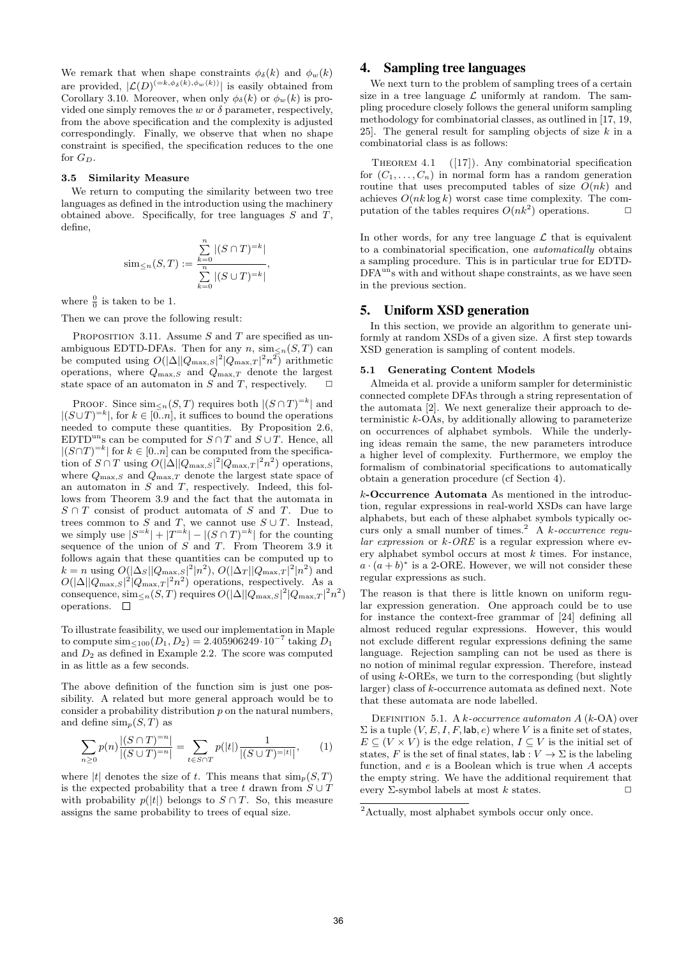We remark that when shape constraints  $\phi_{\delta}(k)$  and  $\phi_w(k)$ are provided,  $|\mathcal{L}(D)^{(-k,\phi_{\delta}(k),\phi_w(k))}|$  is easily obtained from Corollary 3.10. Moreover, when only  $\phi_{\delta}(k)$  or  $\phi_w(k)$  is provided one simply removes the w or  $\delta$  parameter, respectively, from the above specification and the complexity is adjusted correspondingly. Finally, we observe that when no shape constraint is specified, the specification reduces to the one for  $G_D$ .

#### 3.5 Similarity Measure

We return to computing the similarity between two tree languages as defined in the introduction using the machinery obtained above. Specifically, for tree languages  $S$  and  $T$ , define,

$$
sim_{\leq n}(S,T) := \frac{\sum_{k=0}^{n} |(S \cap T)^{=k}|}{\sum_{k=0}^{n} |(S \cup T)^{=k}|},
$$

where  $\frac{0}{0}$  is taken to be 1.

Then we can prove the following result:

PROPOSITION 3.11. Assume  $S$  and  $T$  are specified as unambiguous EDTD-DFAs. Then for any  $n$ ,  $\operatorname{sim}_{\leq n}(S,T)$  can be computed using  $O(|\Delta| |Q_{\text{max},S}|^2 |Q_{\text{max},T}|^2 n^2)$  arithmetic operations, where  $Q_{\text{max},S}$  and  $Q_{\text{max},T}$  denote the largest state space of an automaton in S and T, respectively.  $\Box$ 

PROOF. Since  $\operatorname{sim}_{\leq n}(S,T)$  requires both  $|(S \cap T)^{=k}|$  and  $|(S\cup T)^{=k}|$ , for  $k\in [0..n]$ , it suffices to bound the operations needed to compute these quantities. By Proposition 2.6, EDTD<sup>un</sup>s can be computed for  $S \cap T$  and  $S \cup T$ . Hence, all  $|(S \cap T)^{-k}|$  for  $k \in [0..n]$  can be computed from the specification of  $S \cap T$  using  $O(|\Delta| |Q_{\max,S}|^2 |Q_{\max,T}|^2 n^2)$  operations, where  $Q_{\text{max},S}$  and  $Q_{\text{max},T}$  denote the largest state space of an automaton in S and T, respectively. Indeed, this follows from Theorem 3.9 and the fact that the automata in  $S \cap T$  consist of product automata of S and T. Due to trees common to S and T, we cannot use  $S \cup T$ . Instead, we simply use  $|S^{-k}| + |T^{-k}| - |(S \cap T)^{-k}|$  for the counting sequence of the union of  $S$  and  $T$ . From Theorem 3.9 it follows again that these quantities can be computed up to  $k = n$  using  $O(|\Delta_S||Q_{\text{max},S}|^2|n^2), O(|\Delta_T||Q_{\text{max},T}|^2|n^2)$  and  $O(|\Delta||Q_{\text{max},S}|^2|Q_{\text{max},T}|^2n^2)$  operations, respectively. As a consequence,  $\text{sim}_{\leq n}(S,T)$  requires  $O(|\Delta| |Q_{\text{max},S}|^2 |Q_{\text{max},T}|^2 n^2)$ operations.  $\square$ 

To illustrate feasibility, we used our implementation in Maple to compute  $\text{sim}_{\leq 100}(D_1, D_2) = 2.405906249 \cdot 10^{-7}$  taking  $D_1$ and  $D_2$  as defined in Example 2.2. The score was computed in as little as a few seconds.

The above definition of the function sim is just one possibility. A related but more general approach would be to consider a probability distribution  $p$  on the natural numbers, and define  $\dim_p(S, T)$  as

$$
\sum_{n\geq 0} p(n) \frac{|(S \cap T)^{-n}|}{|(S \cup T)^{-n}|} = \sum_{t \in S \cap T} p(|t|) \frac{1}{|(S \cup T)^{-|t|}}, \qquad (1)
$$

where |t| denotes the size of t. This means that  $\text{sim}_p(S, T)$ is the expected probability that a tree t drawn from  $S \cup T$ with probability  $p(|t|)$  belongs to  $S \cap T$ . So, this measure assigns the same probability to trees of equal size.

## 4. Sampling tree languages

We next turn to the problem of sampling trees of a certain size in a tree language  $\mathcal L$  uniformly at random. The sampling procedure closely follows the general uniform sampling methodology for combinatorial classes, as outlined in [17, 19, 25. The general result for sampling objects of size  $k$  in a combinatorial class is as follows:

THEOREM 4.1  $([17])$ . Any combinatorial specification for  $(C_1, \ldots, C_n)$  in normal form has a random generation routine that uses precomputed tables of size  $O(nk)$  and achieves  $O(nk \log k)$  worst case time complexity. The computation of the tables requires  $O(nk^2)$  operations.

In other words, for any tree language  $\mathcal L$  that is equivalent to a combinatorial specification, one automatically obtains a sampling procedure. This is in particular true for EDTD-DFA<sup>un</sup>s with and without shape constraints, as we have seen in the previous section.

## 5. Uniform XSD generation

In this section, we provide an algorithm to generate uniformly at random XSDs of a given size. A first step towards XSD generation is sampling of content models.

#### 5.1 Generating Content Models

Almeida et al. provide a uniform sampler for deterministic connected complete DFAs through a string representation of the automata [2]. We next generalize their approach to deterministic  $k$ -OAs, by additionally allowing to parameterize on occurrences of alphabet symbols. While the underlying ideas remain the same, the new parameters introduce a higher level of complexity. Furthermore, we employ the formalism of combinatorial specifications to automatically obtain a generation procedure (cf Section 4).

k-Occurrence Automata As mentioned in the introduction, regular expressions in real-world XSDs can have large alphabets, but each of these alphabet symbols typically occurs only a small number of times.<sup>2</sup> A  $k$ -occurrence regu $lar$  expression or  $k$ -ORE is a regular expression where every alphabet symbol occurs at most  $k$  times. For instance,  $a \cdot (a + b)^*$  is a 2-ORE. However, we will not consider these regular expressions as such.

The reason is that there is little known on uniform regular expression generation. One approach could be to use for instance the context-free grammar of [24] defining all almost reduced regular expressions. However, this would not exclude different regular expressions defining the same language. Rejection sampling can not be used as there is no notion of minimal regular expression. Therefore, instead of using  $k$ -OREs, we turn to the corresponding (but slightly larger) class of k-occurrence automata as defined next. Note that these automata are node labelled.

DEFINITION 5.1. A k-occurrence automaton  $A (k-OA)$  over  $\Sigma$  is a tuple  $(V, E, I, F, \mathsf{lab}, e)$  where V is a finite set of states,  $E \subseteq (V \times V)$  is the edge relation,  $I \subseteq V$  is the initial set of states, F is the set of final states,  $\mathsf{lab} : V \to \Sigma$  is the labeling function, and  $e$  is a Boolean which is true when  $A$  accepts the empty string. We have the additional requirement that every  $\Sigma$ -symbol labels at most k states.  $\square$ 

 $2$ Actually, most alphabet symbols occur only once.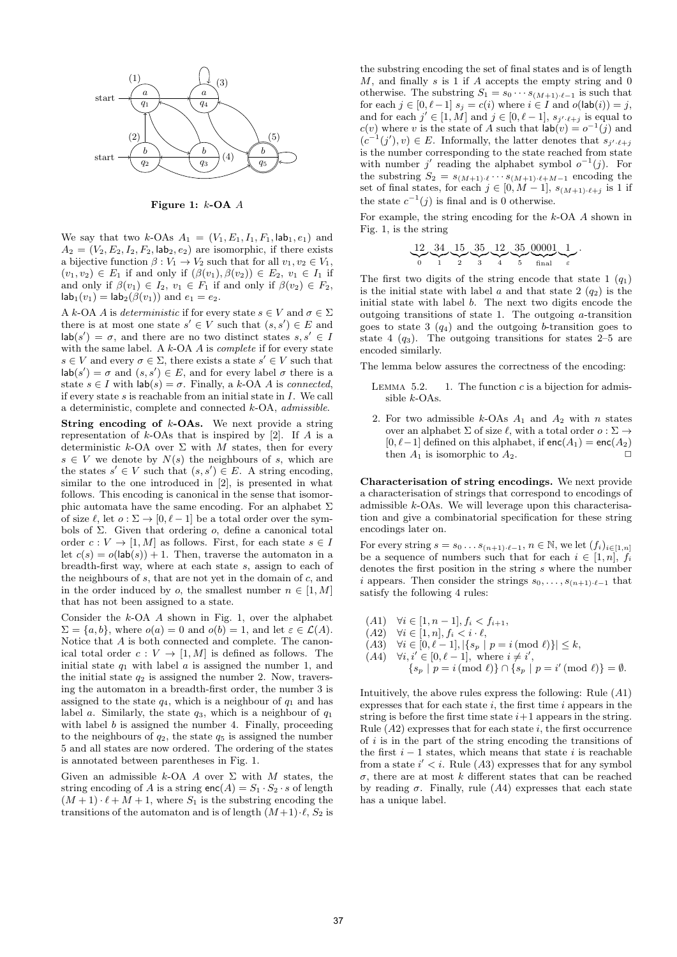

Figure 1: k-OA A

We say that two k-OAs  $A_1 = (V_1, E_1, I_1, F_1, \text{lab}_1, e_1)$  and  $A_2 = (V_2, E_2, I_2, F_2, \text{lab}_2, e_2)$  are isomorphic, if there exists a bijective function  $\beta : V_1 \to V_2$  such that for all  $v_1, v_2 \in V_1$ ,  $(v_1, v_2) \in E_1$  if and only if  $(\beta(v_1), \beta(v_2)) \in E_2$ ,  $v_1 \in I_1$  if and only if  $\beta(v_1) \in I_2$ ,  $v_1 \in F_1$  if and only if  $\beta(v_2) \in F_2$ ,  $\textsf{lab}_1(v_1) = \textsf{lab}_2(\beta(v_1))$  and  $e_1 = e_2$ .

A k-OA A is deterministic if for every state  $s \in V$  and  $\sigma \in \Sigma$ there is at most one state  $s' \in V$  such that  $(s, s') \in E$  and  $\mathsf{lab}(s') = \sigma$ , and there are no two distinct states  $s, s' \in I$ with the same label. A  $k$ -OA  $A$  is *complete* if for every state  $s \in V$  and every  $\sigma \in \Sigma$ , there exists a state  $s' \in V$  such that  $\mathsf{lab}(s') = \sigma$  and  $(s, s') \in E$ , and for every label  $\sigma$  there is a state  $s \in I$  with  $\mathsf{lab}(s) = \sigma$ . Finally, a k-OA A is connected, if every state  $s$  is reachable from an initial state in  $I$ . We call a deterministic, complete and connected k-OA, admissible.

**String encoding of**  $k$ **-OAs.** We next provide a string representation of  $k$ -OAs that is inspired by [2]. If A is a deterministic k-OA over  $\Sigma$  with M states, then for every  $s \in V$  we denote by  $N(s)$  the neighbours of s, which are the states  $s' \in V$  such that  $(s, s') \in E$ . A string encoding, similar to the one introduced in [2], is presented in what follows. This encoding is canonical in the sense that isomorphic automata have the same encoding. For an alphabet  $\Sigma$ of size  $\ell$ , let  $o : \Sigma \to [0, \ell - 1]$  be a total order over the symbols of  $\Sigma$ . Given that ordering  $o$ , define a canonical total order  $c: V \to [1, M]$  as follows. First, for each state  $s \in I$ let  $c(s) = o(\text{lab}(s)) + 1$ . Then, traverse the automaton in a breadth-first way, where at each state s, assign to each of the neighbours of  $s$ , that are not yet in the domain of  $c$ , and in the order induced by *o*, the smallest number  $n \in [1, M]$ that has not been assigned to a state.

Consider the  $k$ -OA  $\tilde{A}$  shown in Fig. 1, over the alphabet  $\Sigma = \{a, b\}$ , where  $o(a) = 0$  and  $o(b) = 1$ , and let  $\varepsilon \in \mathcal{L}(A)$ . Notice that A is both connected and complete. The canonical total order  $c: V \to [1, M]$  is defined as follows. The initial state  $q_1$  with label  $\alpha$  is assigned the number 1, and the initial state  $q_2$  is assigned the number 2. Now, traversing the automaton in a breadth-first order, the number 3 is assigned to the state  $q_4$ , which is a neighbour of  $q_1$  and has label a. Similarly, the state  $q_3$ , which is a neighbour of  $q_1$ with label  $b$  is assigned the number 4. Finally, proceeding to the neighbours of  $q_2$ , the state  $q_5$  is assigned the number 5 and all states are now ordered. The ordering of the states is annotated between parentheses in Fig. 1.

Given an admissible k-OA A over  $\Sigma$  with M states, the string encoding of A is a string  $enc(A) = S_1 \cdot S_2 \cdot s$  of length  $(M + 1) \cdot \ell + M + 1$ , where  $S_1$  is the substring encoding the transitions of the automaton and is of length  $(M+1)\cdot \ell$ ,  $S_2$  is

the substring encoding the set of final states and is of length  $M$ , and finally s is 1 if  $A$  accepts the empty string and 0 otherwise. The substring  $S_1 = s_0 \cdots s_{(M+1)\cdot \ell-1}$  is such that for each  $j \in [0, \ell-1]$   $s_j = c(i)$  where  $i \in I$  and  $o(\textsf{lab}(i)) = j$ , and for each  $j' \in [1, M]$  and  $j \in [0, \ell - 1]$ ,  $s_{j', \ell + j}$  is equal to  $c(v)$  where v is the state of A such that  $\mathsf{lab}(v) = o^{-1}(j)$  and  $(c^{-1}(j'), v) \in E$ . Informally, the latter denotes that  $s_{j',\ell+j}$ is the number corresponding to the state reached from state with number j' reading the alphabet symbol  $o^{-1}(j)$ . For the substring  $S_2 = s_{(M+1)\cdot \ell} \cdots s_{(M+1)\cdot \ell+M-1}$  encoding the set of final states, for each  $j \in [0, M-1]$ ,  $s_{(M+1)\cdot \ell+j}$  is 1 if the state  $c^{-1}(j)$  is final and is 0 otherwise.

For example, the string encoding for the k-OA A shown in Fig. 1, is the string

$$
\underbrace{12}_{0} \underbrace{34}_{1} \underbrace{15}_{2} \underbrace{35}_{3} \underbrace{12}_{4} \underbrace{35}_{5} \underbrace{00001}_{final} \underbrace{1}_{\varepsilon}.
$$

The first two digits of the string encode that state 1  $(q_1)$ is the initial state with label  $a$  and that state 2  $(q_2)$  is the initial state with label b. The next two digits encode the outgoing transitions of state 1. The outgoing a-transition goes to state 3  $(q_4)$  and the outgoing b-transition goes to state 4  $(q_3)$ . The outgoing transitions for states 2–5 are encoded similarly.

The lemma below assures the correctness of the encoding:

- LEMMA 5.2. 1. The function c is a bijection for admissible k-OAs.
- 2. For two admissible  $k$ -OAs  $A_1$  and  $A_2$  with n states over an alphabet  $\Sigma$  of size  $\ell$ , with a total order  $o : \Sigma \rightarrow$  $[0, \ell-1]$  defined on this alphabet, if  $enc(A_1) = enc(A_2)$ then  $A_1$  is isomorphic to  $A_2$ .

Characterisation of string encodings. We next provide a characterisation of strings that correspond to encodings of admissible k-OAs. We will leverage upon this characterisation and give a combinatorial specification for these string encodings later on.

For every string  $s = s_0 \dots s_{(n+1)\cdot \ell-1}, n \in \mathbb{N}$ , we let  $(f_i)_{i\in [1,n]}$ be a sequence of numbers such that for each  $i \in [1, n]$ ,  $f_i$ denotes the first position in the string s where the number i appears. Then consider the strings  $s_0, \ldots, s_{(n+1)\cdot \ell-1}$  that satisfy the following 4 rules:

$$
(A1) \quad \forall i \in [1, n-1], f_i < f_{i+1},
$$

- $(A2) \quad \forall i \in [1, n], f_i < i \cdot \ell,$
- (A3)  $\forall i \in [0, \ell 1], |\{s_p \mid p = i \pmod{\ell}\}| \leq k,$

$$
(A4) \quad \forall i, i' \in [0, \ell - 1], \text{ where } i \neq i',\{s_p \mid p = i \pmod{\ell}\} \cap \{s_p \mid p = i' \pmod{\ell}\} = \emptyset.
$$

Intuitively, the above rules express the following: Rule  $(A1)$ expresses that for each state  $i$ , the first time  $i$  appears in the string is before the first time state  $i+1$  appears in the string. Rule  $(A2)$  expresses that for each state  $i$ , the first occurrence of  $i$  is in the part of the string encoding the transitions of the first  $i - 1$  states, which means that state i is reachable from a state  $i' < i$ . Rule (A3) expresses that for any symbol  $\sigma$ , there are at most k different states that can be reached by reading  $\sigma$ . Finally, rule (A4) expresses that each state has a unique label.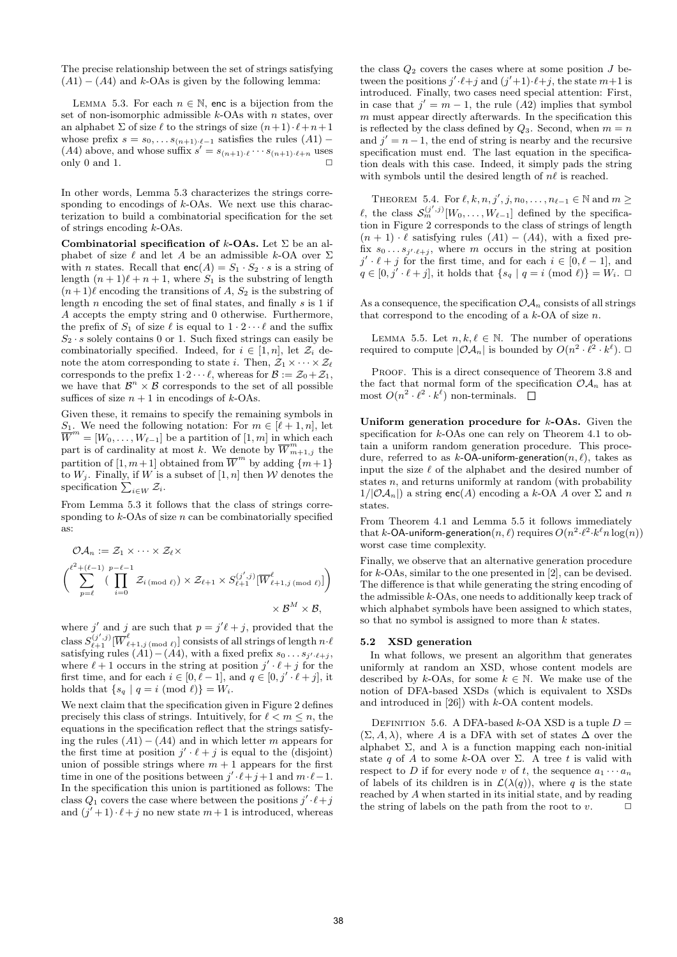The precise relationship between the set of strings satisfying  $(A1) - (A4)$  and k-OAs is given by the following lemma:

LEMMA 5.3. For each  $n \in \mathbb{N}$ , enc is a bijection from the set of non-isomorphic admissible  $k$ -OAs with n states, over an alphabet  $\Sigma$  of size  $\ell$  to the strings of size  $(n+1)\cdot \ell+n+1$ whose prefix  $s = s_0, \ldots s_{(n+1)\cdot\ell-1}$  satisfies the rules  $(A1)$  – (A4) above, and whose suffix  $s' = s_{(n+1)\cdot \ell} \cdots s_{(n+1)\cdot \ell+n}$  uses only 0 and 1.  $\Box$ 

In other words, Lemma 5.3 characterizes the strings corresponding to encodings of  $k$ -OAs. We next use this characterization to build a combinatorial specification for the set of strings encoding k-OAs.

Combinatorial specification of  $k$ -OAs. Let  $\Sigma$  be an alphabet of size  $\ell$  and let A be an admissible k-OA over  $\Sigma$ with *n* states. Recall that  $enc(A) = S_1 \cdot S_2 \cdot s$  is a string of length  $(n + 1)\ell + n + 1$ , where  $S_1$  is the substring of length  $(n+1)\ell$  encoding the transitions of A,  $S_2$  is the substring of length  $n$  encoding the set of final states, and finally  $s$  is 1 if A accepts the empty string and 0 otherwise. Furthermore, the prefix of  $S_1$  of size  $\ell$  is equal to  $1 \cdot 2 \cdots \ell$  and the suffix  $S_2 \cdot s$  solely contains 0 or 1. Such fixed strings can easily be combinatorially specified. Indeed, for  $i \in [1, n]$ , let  $\mathcal{Z}_i$  denote the atom corresponding to state *i*. Then,  $\mathcal{Z}_1 \times \cdots \times \mathcal{Z}_\ell$ corresponds to the prefix  $1 \cdot 2 \cdots \ell$ , whereas for  $\mathcal{B} := \mathcal{Z}_0 + \mathcal{Z}_1$ , we have that  $\mathcal{B}^n \times \mathcal{B}$  corresponds to the set of all possible suffices of size  $n + 1$  in encodings of k-OAs.

Given these, it remains to specify the remaining symbols in S<sub>1</sub>. We need the following notation: For  $m \in [\ell + 1, n]$ , let  $\overline{W}^m = [W_0, \dots, W_{\ell-1}]$  be a partition of  $[1, m]$  in which each part is of cardinality at most k. We denote by  $W_{m+1,j}^m$  the partition of  $[1, m+1]$  obtained from  $\overline{W}^m$  by adding  $\{m+1\}$ to  $W_i$ . Finally, if W is a subset of  $[1, n]$  then W denotes the specification  $\sum_{i\in W} \mathcal{Z}_i$ .

From Lemma 5.3 it follows that the class of strings corresponding to  $k$ -OAs of size  $n$  can be combinatorially specified as:

$$
\mathcal{OA}_n := \mathcal{Z}_1 \times \cdots \times \mathcal{Z}_{\ell} \times
$$
\n
$$
\left( \sum_{p=\ell}^{\ell^2 + (\ell-1)} \prod_{i=0}^{p-\ell-1} \mathcal{Z}_{i \pmod{\ell}} \right) \times \mathcal{Z}_{\ell+1} \times S_{\ell+1}^{(j',j)}[\overline{W}_{\ell+1,j \pmod{\ell}}^{\ell}]\n \times \mathcal{B}^M \times \mathcal{B},
$$

where j' and j are such that  $p = j' \ell + j$ , provided that the class  $S_{\ell+1}^{(j',j)}[\overline{W}_{\ell+1,j\,(\text{mod }\ell)}^{\ell}]$  consists of all strings of length  $n \cdot \ell$ satisfying rules  $(A1) - (A4)$ , with a fixed prefix  $s_0 \dots s_{j'-\ell+j}$ , where  $\ell + 1$  occurs in the string at position  $j' \cdot \ell + j$  for the first time, and for each  $i \in [0, \ell - 1]$ , and  $q \in [0, j' \cdot \ell + j]$ , it holds that  $\{s_q \mid q = i \pmod{\ell}\} = W_i$ .

We next claim that the specification given in Figure 2 defines precisely this class of strings. Intuitively, for  $\ell < m \leq n$ , the equations in the specification reflect that the strings satisfying the rules  $(A1) - (A4)$  and in which letter m appears for the first time at position  $j' \cdot \ell + j$  is equal to the (disjoint) union of possible strings where  $m + 1$  appears for the first time in one of the positions between  $j' \cdot \ell + j + 1$  and  $m \cdot \ell - 1$ . In the specification this union is partitioned as follows: The class  $Q_1$  covers the case where between the positions  $j' \cdot \ell + j$ and  $(j'+1)\cdot \ell + j$  no new state  $m+1$  is introduced, whereas

the class  $Q_2$  covers the cases where at some position  $J$  between the positions  $j' \cdot \ell + j$  and  $(j'+1) \cdot \ell + j$ , the state  $m+1$  is introduced. Finally, two cases need special attention: First, in case that  $j' = m - 1$ , the rule (A2) implies that symbol m must appear directly afterwards. In the specification this is reflected by the class defined by  $Q_3$ . Second, when  $m = n$ and  $j' = n - 1$ , the end of string is nearby and the recursive specification must end. The last equation in the specification deals with this case. Indeed, it simply pads the string with symbols until the desired length of  $n\ell$  is reached.

THEOREM 5.4. For  $\ell, k, n, j', j, n_0, \ldots, n_{\ell-1} \in \mathbb{N}$  and  $m \geq$  $\ell$ , the class  $S_m^{(j',j)}[W_0, \ldots, W_{\ell-1}]$  defined by the specification in Figure 2 corresponds to the class of strings of length  $(n + 1) \cdot \ell$  satisfying rules  $(A1) - (A4)$ , with a fixed prefix  $s_0 \ldots s_{j',\ell+j}$ , where m occurs in the string at position  $j' \cdot \ell + j$  for the first time, and for each  $i \in [0, \ell - 1]$ , and  $q \in [0, j' \cdot \ell + j]$ , it holds that  $\{s_q \mid q = i \pmod{\ell}\} = W_i$ .  $\Box$ 

As a consequence, the specification  $\mathcal{OA}_n$  consists of all strings that correspond to the encoding of a  $k$ -OA of size  $n$ .

LEMMA 5.5. Let  $n, k, \ell \in \mathbb{N}$ . The number of operations required to compute  $|\mathcal{OA}_n|$  is bounded by  $O(n^2 \cdot \ell^2 \cdot k^{\ell})$ .

PROOF. This is a direct consequence of Theorem 3.8 and the fact that normal form of the specification  $\mathcal{OA}_n$  has at most  $O(n^2 \cdot \ell^2 \cdot k^{\ell})$  non-terminals.

Uniform generation procedure for  $k$ -OAs. Given the specification for k-OAs one can rely on Theorem 4.1 to obtain a uniform random generation procedure. This procedure, referred to as  $k$ -OA-uniform-generation $(n, \ell)$ , takes as input the size  $\ell$  of the alphabet and the desired number of states  $n$ , and returns uniformly at random (with probability  $1/|\mathcal{OA}_n|$  a string enc(A) encoding a k-OA A over  $\Sigma$  and n states.

From Theorem 4.1 and Lemma 5.5 it follows immediately that k-OA-uniform-generation $(n, \ell)$  requires  $O(n^2 \cdot \ell^2 \cdot k^{\ell} n \log(n))$ worst case time complexity.

Finally, we observe that an alternative generation procedure for k-OAs, similar to the one presented in [2], can be devised. The difference is that while generating the string encoding of the admissible k-OAs, one needs to additionally keep track of which alphabet symbols have been assigned to which states, so that no symbol is assigned to more than  $k$  states.

#### 5.2 XSD generation

In what follows, we present an algorithm that generates uniformly at random an XSD, whose content models are described by k-OAs, for some  $k \in \mathbb{N}$ . We make use of the notion of DFA-based XSDs (which is equivalent to XSDs and introduced in  $[26]$ ) with  $k$ -OA content models.

DEFINITION 5.6. A DFA-based k-OA XSD is a tuple  $D =$  $(\Sigma, A, \lambda)$ , where A is a DFA with set of states  $\Delta$  over the alphabet  $\Sigma$ , and  $\lambda$  is a function mapping each non-initial state q of A to some k-OA over  $\Sigma$ . A tree t is valid with respect to D if for every node v of t, the sequence  $a_1 \cdots a_n$ of labels of its children is in  $\mathcal{L}(\lambda(q))$ , where q is the state reached by A when started in its initial state, and by reading the string of labels on the path from the root to  $v$ .  $\Box$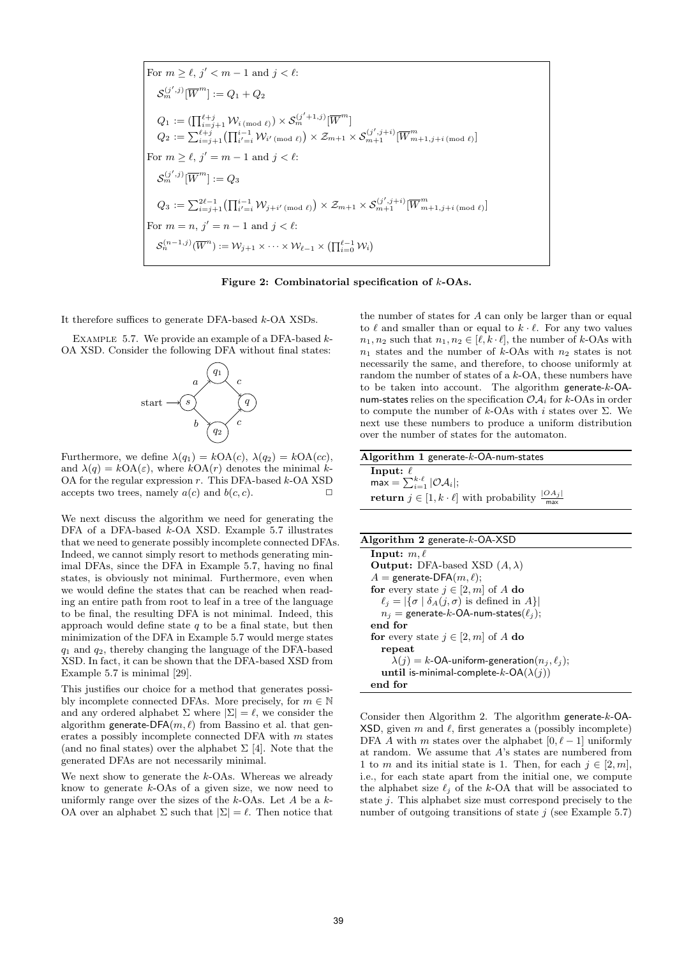For 
$$
m \ge \ell
$$
,  $j' < m - 1$  and  $j < \ell$ :  
\n
$$
\mathcal{S}_{m}^{(j',j)}[\overline{W}^{m}] := Q_{1} + Q_{2}
$$
\n
$$
Q_{1} := \left(\prod_{i=j+1}^{\ell+j} \mathcal{W}_{i \text{ (mod } \ell)} \right) \times \mathcal{S}_{m}^{(j'+1,j)}[\overline{W}^{m}]
$$
\n
$$
Q_{2} := \sum_{i=j+1}^{\ell+j} \left(\prod_{i'=i}^{i-1} \mathcal{W}_{i' \text{ (mod } \ell)} \right) \times \mathcal{Z}_{m+1} \times \mathcal{S}_{m+1}^{(j',j+i)}[\overline{W}^{m}_{m+1,j+i \text{ (mod } \ell)}]
$$
\nFor  $m \ge \ell$ ,  $j' = m - 1$  and  $j < \ell$ :  
\n
$$
\mathcal{S}_{m}^{(j',j)}[\overline{W}^{m}] := Q_{3}
$$
\n
$$
Q_{3} := \sum_{i=j+1}^{2\ell-1} \left(\prod_{i'=i}^{i-1} \mathcal{W}_{j+i' \text{ (mod } \ell)} \right) \times \mathcal{Z}_{m+1} \times \mathcal{S}_{m+1}^{(j',j+i)}[\overline{W}^{m}_{m+1,j+i \text{ (mod } \ell)}]
$$
\nFor  $m = n$ ,  $j' = n - 1$  and  $j < \ell$ :  
\n
$$
\mathcal{S}_{n}^{(n-1,j)}(\overline{W}^{n}) := \mathcal{W}_{j+1} \times \cdots \times \mathcal{W}_{\ell-1} \times \left(\prod_{i=0}^{\ell-1} \mathcal{W}_{i}\right)
$$

Figure 2: Combinatorial specification of k-OAs.

#### It therefore suffices to generate DFA-based k-OA XSDs.

EXAMPLE 5.7. We provide an example of a DFA-based  $k$ -OA XSD. Consider the following DFA without final states:



Furthermore, we define  $\lambda(q_1) = k \text{OA}(c), \lambda(q_2) = k \text{OA}(cc),$ and  $\lambda(q) = k\text{OA}(\varepsilon)$ , where  $k\text{OA}(r)$  denotes the minimal k-OA for the regular expression  $r$ . This DFA-based  $k$ -OA XSD accepts two trees, namely  $a(c)$  and  $b(c, c)$ .

We next discuss the algorithm we need for generating the DFA of a DFA-based k-OA XSD. Example 5.7 illustrates that we need to generate possibly incomplete connected DFAs. Indeed, we cannot simply resort to methods generating minimal DFAs, since the DFA in Example 5.7, having no final states, is obviously not minimal. Furthermore, even when we would define the states that can be reached when reading an entire path from root to leaf in a tree of the language to be final, the resulting DFA is not minimal. Indeed, this approach would define state  $q$  to be a final state, but then minimization of the DFA in Example 5.7 would merge states  $q_1$  and  $q_2$ , thereby changing the language of the DFA-based XSD. In fact, it can be shown that the DFA-based XSD from Example 5.7 is minimal [29].

This justifies our choice for a method that generates possibly incomplete connected DFAs. More precisely, for  $m \in \mathbb{N}$ and any ordered alphabet  $\Sigma$  where  $|\Sigma| = \ell$ , we consider the algorithm generate-DFA $(m, \ell)$  from Bassino et al. that generates a possibly incomplete connected DFA with m states (and no final states) over the alphabet  $\Sigma$  [4]. Note that the generated DFAs are not necessarily minimal.

We next show to generate the  $k$ -OAs. Whereas we already know to generate k-OAs of a given size, we now need to uniformly range over the sizes of the  $k$ -OAs. Let  $A$  be a  $k$ -OA over an alphabet  $\Sigma$  such that  $|\Sigma| = \ell$ . Then notice that

the number of states for A can only be larger than or equal to  $\ell$  and smaller than or equal to  $k \cdot \ell$ . For any two values  $n_1, n_2$  such that  $n_1, n_2 \in [\ell, k \cdot \ell]$ , the number of k-OAs with  $n_1$  states and the number of k-OAs with  $n_2$  states is not necessarily the same, and therefore, to choose uniformly at random the number of states of a  $k$ -OA, these numbers have to be taken into account. The algorithm generate-k-OAnum-states relies on the specification  $\mathcal{OA}_i$  for k-OAs in order to compute the number of  $k$ -OAs with i states over  $\Sigma$ . We next use these numbers to produce a uniform distribution over the number of states for the automaton.

| Algorithm 1 generate- $k$ -OA-num-states                                                |  |
|-----------------------------------------------------------------------------------------|--|
| Input: $\ell$                                                                           |  |
| $\max = \sum_{i=1}^{k \cdot \ell}  {\cal O}{\cal A}_i $ ;                               |  |
| <b>return</b> $j \in [1, k \cdot \ell]$ with probability $\frac{ OA_j }{\sigma}$<br>max |  |

| Algorithm 2 generate-k-OA-XSD                                            |
|--------------------------------------------------------------------------|
| Input: $m, \ell$                                                         |
| <b>Output:</b> DFA-based XSD $(A, \lambda)$                              |
| $A =$ generate-DFA $(m, \ell);$                                          |
| for every state $j \in [2, m]$ of A do                                   |
| $\ell_i =  \{\sigma \mid \delta_A(j,\sigma) \text{ is defined in } A\} $ |
| $n_i =$ generate-k-OA-num-states( $\ell_i$ );                            |
| end for                                                                  |
| for every state $j \in [2, m]$ of A do                                   |
| repeat                                                                   |
| $\lambda(i) = k\text{-OA-uniform-generation}(n_i, \ell_i);$              |
| until is-minimal-complete-k-OA( $\lambda(i)$ )                           |
| end for                                                                  |

Consider then Algorithm 2. The algorithm generate- $k$ -OA- $XSD$ , given m and  $\ell$ , first generates a (possibly incomplete) DFA A with m states over the alphabet  $[0, \ell - 1]$  uniformly at random. We assume that A's states are numbered from 1 to m and its initial state is 1. Then, for each  $j \in [2, m]$ , i.e., for each state apart from the initial one, we compute the alphabet size  $\ell_j$  of the k-OA that will be associated to state j. This alphabet size must correspond precisely to the number of outgoing transitions of state  $j$  (see Example 5.7)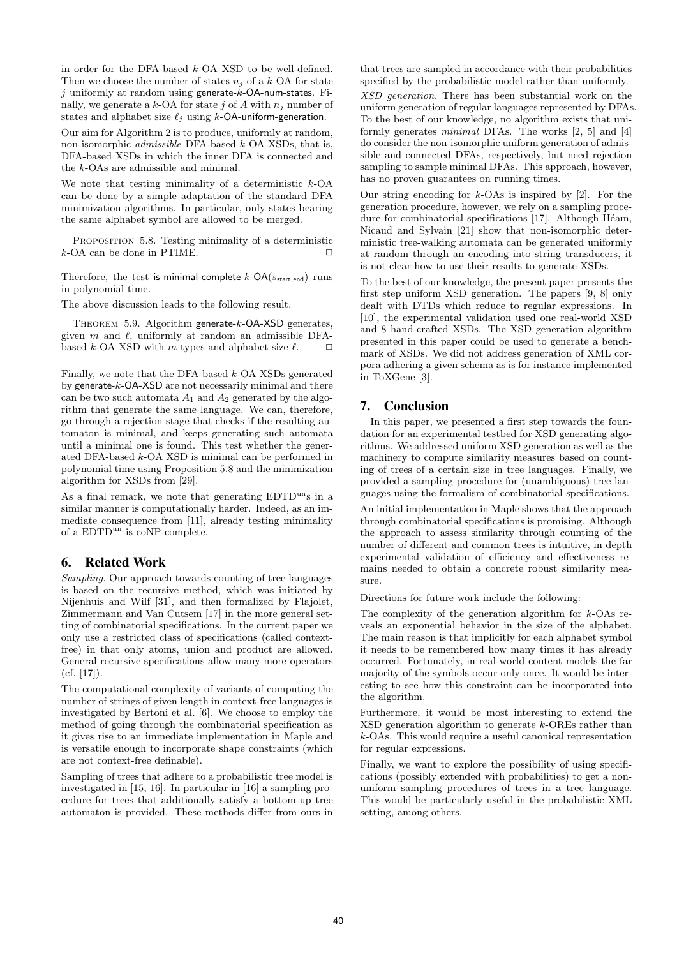in order for the DFA-based k-OA XSD to be well-defined. Then we choose the number of states  $n_i$  of a k-OA for state j uniformly at random using generate- $k$ -OA-num-states. Finally, we generate a  $k$ -OA for state j of A with  $n_i$  number of states and alphabet size  $\ell_j$  using k-OA-uniform-generation.

Our aim for Algorithm 2 is to produce, uniformly at random, non-isomorphic admissible DFA-based k-OA XSDs, that is, DFA-based XSDs in which the inner DFA is connected and the k-OAs are admissible and minimal.

We note that testing minimality of a deterministic  $k$ -OA can be done by a simple adaptation of the standard DFA minimization algorithms. In particular, only states bearing the same alphabet symbol are allowed to be merged.

PROPOSITION 5.8. Testing minimality of a deterministic  $k$ -OA can be done in PTIME.

Therefore, the test is-minimal-complete- $k$ -OA( $s_{start,end}$ ) runs in polynomial time.

The above discussion leads to the following result.

THEOREM 5.9. Algorithm generate- $k$ -OA-XSD generates, given m and  $\ell$ , uniformly at random an admissible DFAbased k-OA XSD with m types and alphabet size  $\ell$ .

Finally, we note that the DFA-based k-OA XSDs generated by generate-k-OA-XSD are not necessarily minimal and there can be two such automata  $A_1$  and  $A_2$  generated by the algorithm that generate the same language. We can, therefore, go through a rejection stage that checks if the resulting automaton is minimal, and keeps generating such automata until a minimal one is found. This test whether the generated DFA-based k-OA XSD is minimal can be performed in polynomial time using Proposition 5.8 and the minimization algorithm for XSDs from [29].

As a final remark, we note that generating  $EDTD^{un}$ s in a similar manner is computationally harder. Indeed, as an immediate consequence from [11], already testing minimality of a EDTD<sup>un</sup> is coNP-complete.

# 6. Related Work

Sampling. Our approach towards counting of tree languages is based on the recursive method, which was initiated by Nijenhuis and Wilf [31], and then formalized by Flajolet, Zimmermann and Van Cutsem [17] in the more general setting of combinatorial specifications. In the current paper we only use a restricted class of specifications (called contextfree) in that only atoms, union and product are allowed. General recursive specifications allow many more operators  $(cf. [17])$ .

The computational complexity of variants of computing the number of strings of given length in context-free languages is investigated by Bertoni et al. [6]. We choose to employ the method of going through the combinatorial specification as it gives rise to an immediate implementation in Maple and is versatile enough to incorporate shape constraints (which are not context-free definable).

Sampling of trees that adhere to a probabilistic tree model is investigated in [15, 16]. In particular in [16] a sampling procedure for trees that additionally satisfy a bottom-up tree automaton is provided. These methods differ from ours in

that trees are sampled in accordance with their probabilities specified by the probabilistic model rather than uniformly.

XSD generation. There has been substantial work on the uniform generation of regular languages represented by DFAs. To the best of our knowledge, no algorithm exists that uniformly generates minimal DFAs. The works [2, 5] and [4] do consider the non-isomorphic uniform generation of admissible and connected DFAs, respectively, but need rejection sampling to sample minimal DFAs. This approach, however, has no proven guarantees on running times.

Our string encoding for  $k$ -OAs is inspired by [2]. For the generation procedure, however, we rely on a sampling procedure for combinatorial specifications [17]. Although Héam, Nicaud and Sylvain [21] show that non-isomorphic deterministic tree-walking automata can be generated uniformly at random through an encoding into string transducers, it is not clear how to use their results to generate XSDs.

To the best of our knowledge, the present paper presents the first step uniform XSD generation. The papers [9, 8] only dealt with DTDs which reduce to regular expressions. In [10], the experimental validation used one real-world XSD and 8 hand-crafted XSDs. The XSD generation algorithm presented in this paper could be used to generate a benchmark of XSDs. We did not address generation of XML corpora adhering a given schema as is for instance implemented in ToXGene [3].

# 7. Conclusion

In this paper, we presented a first step towards the foundation for an experimental testbed for XSD generating algorithms. We addressed uniform XSD generation as well as the machinery to compute similarity measures based on counting of trees of a certain size in tree languages. Finally, we provided a sampling procedure for (unambiguous) tree languages using the formalism of combinatorial specifications.

An initial implementation in Maple shows that the approach through combinatorial specifications is promising. Although the approach to assess similarity through counting of the number of different and common trees is intuitive, in depth experimental validation of efficiency and effectiveness remains needed to obtain a concrete robust similarity measure.

Directions for future work include the following:

The complexity of the generation algorithm for k-OAs reveals an exponential behavior in the size of the alphabet. The main reason is that implicitly for each alphabet symbol it needs to be remembered how many times it has already occurred. Fortunately, in real-world content models the far majority of the symbols occur only once. It would be interesting to see how this constraint can be incorporated into the algorithm.

Furthermore, it would be most interesting to extend the XSD generation algorithm to generate k-OREs rather than k-OAs. This would require a useful canonical representation for regular expressions.

Finally, we want to explore the possibility of using specifications (possibly extended with probabilities) to get a nonuniform sampling procedures of trees in a tree language. This would be particularly useful in the probabilistic XML setting, among others.